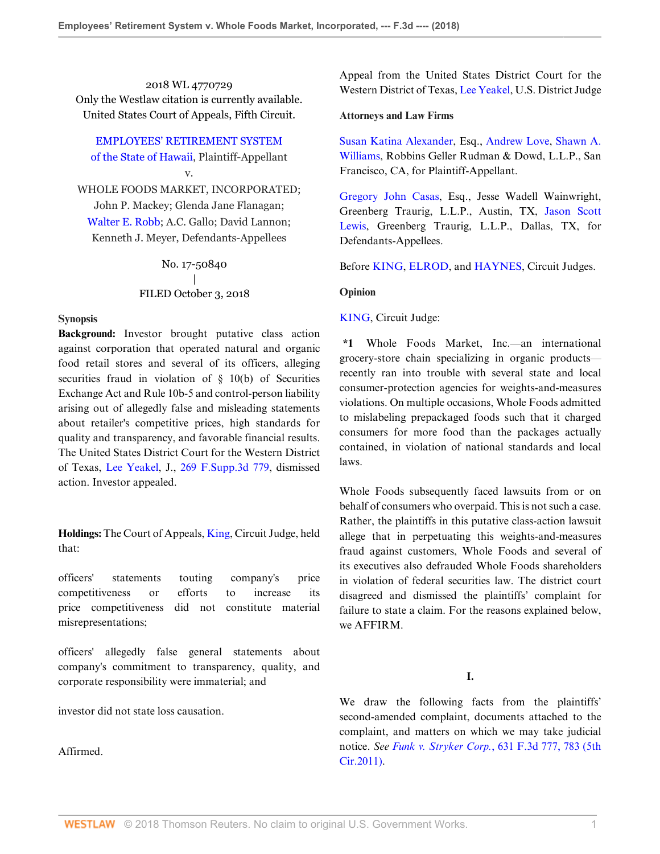2018 WL 4770729 Only the Westlaw citation is currently available. United States Court of Appeals, Fifth Circuit.

[EMPLOYEES' RETIREMENT SYSTEM](http://www.westlaw.com/Search/Results.html?query=advanced%3a+OAID(5037137447)&saveJuris=False&contentType=BUSINESS-INVESTIGATOR&startIndex=1&contextData=(sc.Default)&categoryPageUrl=Home%2fCompanyInvestigator&originationContext=document&vr=3.0&rs=cblt1.0&transitionType=DocumentItem) [of the State of Hawaii](http://www.westlaw.com/Search/Results.html?query=advanced%3a+OAID(5037137447)&saveJuris=False&contentType=BUSINESS-INVESTIGATOR&startIndex=1&contextData=(sc.Default)&categoryPageUrl=Home%2fCompanyInvestigator&originationContext=document&vr=3.0&rs=cblt1.0&transitionType=DocumentItem), Plaintiff-Appellant

v.

WHOLE FOODS MARKET, INCORPORATED; John P. Mackey; Glenda Jane Flanagan; [Walter E. Robb;](http://www.westlaw.com/Search/Results.html?query=advanced%3a+OAID(4296193163)&saveJuris=False&contentType=BUSINESS-INVESTIGATOR&startIndex=1&contextData=(sc.Default)&categoryPageUrl=Home%2fCompanyInvestigator&originationContext=document&vr=3.0&rs=cblt1.0&transitionType=DocumentItem) A.C. Gallo; David Lannon; Kenneth J. Meyer, Defendants-Appellees

> No. 17-50840 | FILED October 3, 2018

#### **Synopsis**

**Background:** Investor brought putative class action against corporation that operated natural and organic food retail stores and several of its officers, alleging securities fraud in violation of § 10(b) of Securities Exchange Act and Rule 10b-5 and control-person liability arising out of allegedly false and misleading statements about retailer's competitive prices, high standards for quality and transparency, and favorable financial results. The United States District Court for the Western District of Texas, [Lee Yeakel](http://www.westlaw.com/Link/Document/FullText?findType=h&pubNum=176284&cite=0247516701&originatingDoc=I9bb64810c76c11e8ae6bb4b0ae8dca5a&refType=RQ&originationContext=document&vr=3.0&rs=cblt1.0&transitionType=DocumentItem&contextData=(sc.Search)), J., [269 F.Supp.3d 779,](http://www.westlaw.com/Link/Document/FullText?findType=Y&serNum=2042484583&pubNum=0007903&originatingDoc=I9bb64810c76c11e8ae6bb4b0ae8dca5a&refType=RP&originationContext=document&vr=3.0&rs=cblt1.0&transitionType=DocumentItem&contextData=(sc.Search)) dismissed action. Investor appealed.

**Holdings:** The Court of Appeals, [King](http://www.westlaw.com/Link/Document/FullText?findType=h&pubNum=176284&cite=0209676001&originatingDoc=I9bb64810c76c11e8ae6bb4b0ae8dca5a&refType=RQ&originationContext=document&vr=3.0&rs=cblt1.0&transitionType=DocumentItem&contextData=(sc.Search)), Circuit Judge, held that:

officers' statements touting company's price competitiveness or efforts to increase its price competitiveness did not constitute material misrepresentations;

officers' allegedly false general statements about company's commitment to transparency, quality, and corporate responsibility were immaterial; and

investor did not state loss causation.

Affirmed.

Appeal from the United States District Court for the Western District of Texas, [Lee Yeakel](http://www.westlaw.com/Link/Document/FullText?findType=h&pubNum=176284&cite=0247516701&originatingDoc=I9bb64810c76c11e8ae6bb4b0ae8dca5a&refType=RQ&originationContext=document&vr=3.0&rs=cblt1.0&transitionType=DocumentItem&contextData=(sc.Search)), U.S. District Judge

#### **Attorneys and Law Firms**

[Susan Katina Alexander,](http://www.westlaw.com/Link/Document/FullText?findType=h&pubNum=176284&cite=0330741401&originatingDoc=I9bb64810c76c11e8ae6bb4b0ae8dca5a&refType=RQ&originationContext=document&vr=3.0&rs=cblt1.0&transitionType=DocumentItem&contextData=(sc.Search)) Esq., [Andrew Love,](http://www.westlaw.com/Link/Document/FullText?findType=h&pubNum=176284&cite=0214095801&originatingDoc=I9bb64810c76c11e8ae6bb4b0ae8dca5a&refType=RQ&originationContext=document&vr=3.0&rs=cblt1.0&transitionType=DocumentItem&contextData=(sc.Search)) [Shawn A.](http://www.westlaw.com/Link/Document/FullText?findType=h&pubNum=176284&cite=0328542501&originatingDoc=I9bb64810c76c11e8ae6bb4b0ae8dca5a&refType=RQ&originationContext=document&vr=3.0&rs=cblt1.0&transitionType=DocumentItem&contextData=(sc.Search)) [Williams,](http://www.westlaw.com/Link/Document/FullText?findType=h&pubNum=176284&cite=0328542501&originatingDoc=I9bb64810c76c11e8ae6bb4b0ae8dca5a&refType=RQ&originationContext=document&vr=3.0&rs=cblt1.0&transitionType=DocumentItem&contextData=(sc.Search)) Robbins Geller Rudman & Dowd, L.L.P., San Francisco, CA, for Plaintiff-Appellant.

[Gregory John Casas,](http://www.westlaw.com/Link/Document/FullText?findType=h&pubNum=176284&cite=0329791401&originatingDoc=I9bb64810c76c11e8ae6bb4b0ae8dca5a&refType=RQ&originationContext=document&vr=3.0&rs=cblt1.0&transitionType=DocumentItem&contextData=(sc.Search)) Esq., Jesse Wadell Wainwright, Greenberg Traurig, L.L.P., Austin, TX, [Jason Scott](http://www.westlaw.com/Link/Document/FullText?findType=h&pubNum=176284&cite=0329798901&originatingDoc=I9bb64810c76c11e8ae6bb4b0ae8dca5a&refType=RQ&originationContext=document&vr=3.0&rs=cblt1.0&transitionType=DocumentItem&contextData=(sc.Search)) [Lewis,](http://www.westlaw.com/Link/Document/FullText?findType=h&pubNum=176284&cite=0329798901&originatingDoc=I9bb64810c76c11e8ae6bb4b0ae8dca5a&refType=RQ&originationContext=document&vr=3.0&rs=cblt1.0&transitionType=DocumentItem&contextData=(sc.Search)) Greenberg Traurig, L.L.P., Dallas, TX, for Defendants-Appellees.

Before [KING](http://www.westlaw.com/Link/Document/FullText?findType=h&pubNum=176284&cite=0209676001&originatingDoc=I9bb64810c76c11e8ae6bb4b0ae8dca5a&refType=RQ&originationContext=document&vr=3.0&rs=cblt1.0&transitionType=DocumentItem&contextData=(sc.Search)), [ELROD](http://www.westlaw.com/Link/Document/FullText?findType=h&pubNum=176284&cite=0331121101&originatingDoc=I9bb64810c76c11e8ae6bb4b0ae8dca5a&refType=RQ&originationContext=document&vr=3.0&rs=cblt1.0&transitionType=DocumentItem&contextData=(sc.Search)), and [HAYNES](http://www.westlaw.com/Link/Document/FullText?findType=h&pubNum=176284&cite=0316723601&originatingDoc=I9bb64810c76c11e8ae6bb4b0ae8dca5a&refType=RQ&originationContext=document&vr=3.0&rs=cblt1.0&transitionType=DocumentItem&contextData=(sc.Search)), Circuit Judges.

#### **Opinion**

#### [KING,](http://www.westlaw.com/Link/Document/FullText?findType=h&pubNum=176284&cite=0209676001&originatingDoc=I9bb64810c76c11e8ae6bb4b0ae8dca5a&refType=RQ&originationContext=document&vr=3.0&rs=cblt1.0&transitionType=DocumentItem&contextData=(sc.Search)) Circuit Judge:

**\*1** Whole Foods Market, Inc.—an international grocery-store chain specializing in organic products recently ran into trouble with several state and local consumer-protection agencies for weights-and-measures violations. On multiple occasions, Whole Foods admitted to mislabeling prepackaged foods such that it charged consumers for more food than the packages actually contained, in violation of national standards and local laws.

Whole Foods subsequently faced lawsuits from or on behalf of consumers who overpaid. This is not such a case. Rather, the plaintiffs in this putative class-action lawsuit allege that in perpetuating this weights-and-measures fraud against customers, Whole Foods and several of its executives also defrauded Whole Foods shareholders in violation of federal securities law. The district court disagreed and dismissed the plaintiffs' complaint for failure to state a claim. For the reasons explained below, we AFFIRM

# **I.**

We draw the following facts from the plaintiffs' second-amended complaint, documents attached to the complaint, and matters on which we may take judicial notice. *See Funk v. Stryker Corp.*[, 631 F.3d 777, 783 \(5th](http://www.westlaw.com/Link/Document/FullText?findType=Y&serNum=2024453499&pubNum=0000506&originatingDoc=I9bb64810c76c11e8ae6bb4b0ae8dca5a&refType=RP&fi=co_pp_sp_506_783&originationContext=document&vr=3.0&rs=cblt1.0&transitionType=DocumentItem&contextData=(sc.Search)#co_pp_sp_506_783) [Cir.2011\).](http://www.westlaw.com/Link/Document/FullText?findType=Y&serNum=2024453499&pubNum=0000506&originatingDoc=I9bb64810c76c11e8ae6bb4b0ae8dca5a&refType=RP&fi=co_pp_sp_506_783&originationContext=document&vr=3.0&rs=cblt1.0&transitionType=DocumentItem&contextData=(sc.Search)#co_pp_sp_506_783)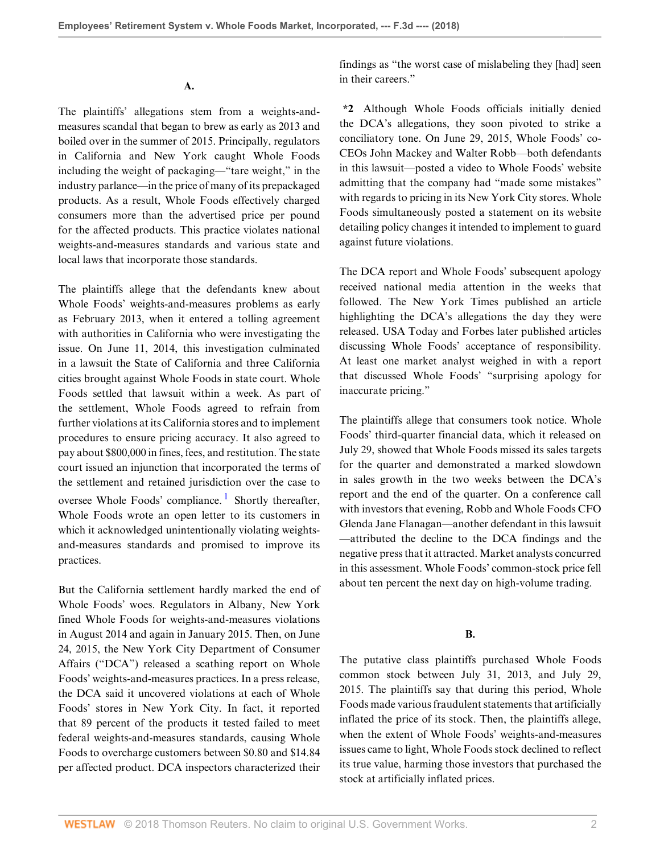**A.**

The plaintiffs' allegations stem from a weights-andmeasures scandal that began to brew as early as 2013 and boiled over in the summer of 2015. Principally, regulators in California and New York caught Whole Foods including the weight of packaging—"tare weight," in the industry parlance—in the price of many of its prepackaged products. As a result, Whole Foods effectively charged consumers more than the advertised price per pound for the affected products. This practice violates national weights-and-measures standards and various state and local laws that incorporate those standards.

The plaintiffs allege that the defendants knew about Whole Foods' weights-and-measures problems as early as February 2013, when it entered a tolling agreement with authorities in California who were investigating the issue. On June 11, 2014, this investigation culminated in a lawsuit the State of California and three California cities brought against Whole Foods in state court. Whole Foods settled that lawsuit within a week. As part of the settlement, Whole Foods agreed to refrain from further violations at its California stores and to implement procedures to ensure pricing accuracy. It also agreed to pay about \$800,000 in fines, fees, and restitution. The state court issued an injunction that incorporated the terms of the settlement and retained jurisdiction over the case to oversee Whole Foods' compliance.<sup>[1](#page-8-0)</sup> Shortly thereafter, Whole Foods wrote an open letter to its customers in which it acknowledged unintentionally violating weightsand-measures standards and promised to improve its practices.

But the California settlement hardly marked the end of Whole Foods' woes. Regulators in Albany, New York fined Whole Foods for weights-and-measures violations in August 2014 and again in January 2015. Then, on June 24, 2015, the New York City Department of Consumer Affairs ("DCA") released a scathing report on Whole Foods' weights-and-measures practices. In a press release, the DCA said it uncovered violations at each of Whole Foods' stores in New York City. In fact, it reported that 89 percent of the products it tested failed to meet federal weights-and-measures standards, causing Whole Foods to overcharge customers between \$0.80 and \$14.84 per affected product. DCA inspectors characterized their

findings as "the worst case of mislabeling they [had] seen in their careers."

**\*2** Although Whole Foods officials initially denied the DCA's allegations, they soon pivoted to strike a conciliatory tone. On June 29, 2015, Whole Foods' co-CEOs John Mackey and Walter Robb—both defendants in this lawsuit—posted a video to Whole Foods' website admitting that the company had "made some mistakes" with regards to pricing in its New York City stores. Whole Foods simultaneously posted a statement on its website detailing policy changes it intended to implement to guard against future violations.

The DCA report and Whole Foods' subsequent apology received national media attention in the weeks that followed. The New York Times published an article highlighting the DCA's allegations the day they were released. USA Today and Forbes later published articles discussing Whole Foods' acceptance of responsibility. At least one market analyst weighed in with a report that discussed Whole Foods' "surprising apology for inaccurate pricing."

<span id="page-1-0"></span>The plaintiffs allege that consumers took notice. Whole Foods' third-quarter financial data, which it released on July 29, showed that Whole Foods missed its sales targets for the quarter and demonstrated a marked slowdown in sales growth in the two weeks between the DCA's report and the end of the quarter. On a conference call with investors that evening, Robb and Whole Foods CFO Glenda Jane Flanagan—another defendant in this lawsuit —attributed the decline to the DCA findings and the negative press that it attracted. Market analysts concurred in this assessment. Whole Foods' common-stock price fell about ten percent the next day on high-volume trading.

### **B.**

The putative class plaintiffs purchased Whole Foods common stock between July 31, 2013, and July 29, 2015. The plaintiffs say that during this period, Whole Foods made various fraudulent statements that artificially inflated the price of its stock. Then, the plaintiffs allege, when the extent of Whole Foods' weights-and-measures issues came to light, Whole Foods stock declined to reflect its true value, harming those investors that purchased the stock at artificially inflated prices.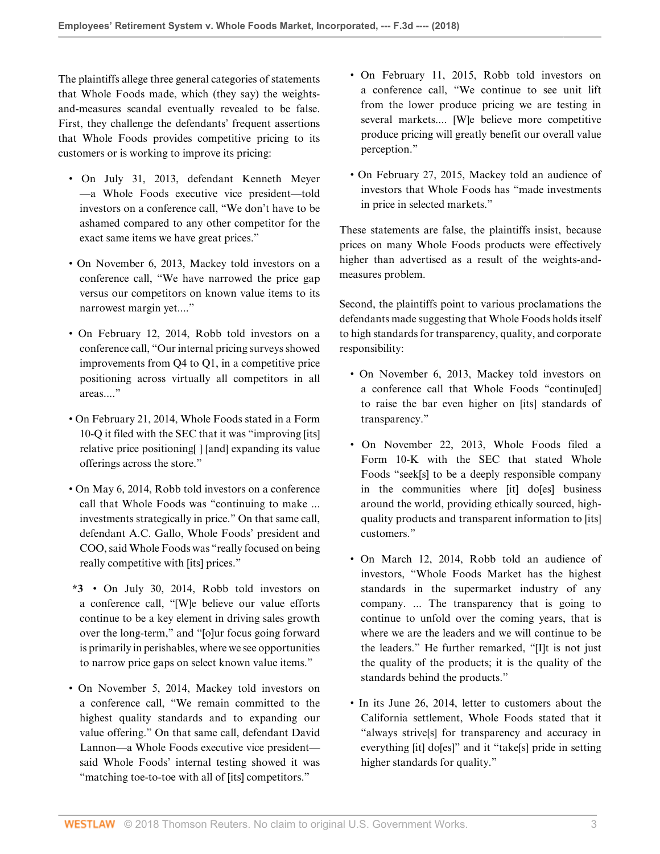The plaintiffs allege three general categories of statements that Whole Foods made, which (they say) the weightsand-measures scandal eventually revealed to be false. First, they challenge the defendants' frequent assertions that Whole Foods provides competitive pricing to its customers or is working to improve its pricing:

- On July 31, 2013, defendant Kenneth Meyer —a Whole Foods executive vice president—told investors on a conference call, "We don't have to be ashamed compared to any other competitor for the exact same items we have great prices."
- On November 6, 2013, Mackey told investors on a conference call, "We have narrowed the price gap versus our competitors on known value items to its narrowest margin yet...."
- On February 12, 2014, Robb told investors on a conference call, "Our internal pricing surveys showed improvements from Q4 to Q1, in a competitive price positioning across virtually all competitors in all areas...."
- On February 21, 2014, Whole Foods stated in a Form 10-Q it filed with the SEC that it was "improving [its] relative price positioning[ ] [and] expanding its value offerings across the store."
- On May 6, 2014, Robb told investors on a conference call that Whole Foods was "continuing to make ... investments strategically in price." On that same call, defendant A.C. Gallo, Whole Foods' president and COO, said Whole Foods was "really focused on being really competitive with [its] prices."
- **\*3** On July 30, 2014, Robb told investors on a conference call, "[W]e believe our value efforts continue to be a key element in driving sales growth over the long-term," and "[o]ur focus going forward is primarily in perishables, where we see opportunities to narrow price gaps on select known value items."
- On November 5, 2014, Mackey told investors on a conference call, "We remain committed to the highest quality standards and to expanding our value offering." On that same call, defendant David Lannon—a Whole Foods executive vice president said Whole Foods' internal testing showed it was "matching toe-to-toe with all of [its] competitors."
- On February 11, 2015, Robb told investors on a conference call, "We continue to see unit lift from the lower produce pricing we are testing in several markets.... [W]e believe more competitive produce pricing will greatly benefit our overall value perception."
- On February 27, 2015, Mackey told an audience of investors that Whole Foods has "made investments in price in selected markets."

These statements are false, the plaintiffs insist, because prices on many Whole Foods products were effectively higher than advertised as a result of the weights-andmeasures problem.

Second, the plaintiffs point to various proclamations the defendants made suggesting that Whole Foods holds itself to high standards for transparency, quality, and corporate responsibility:

- On November 6, 2013, Mackey told investors on a conference call that Whole Foods "continu[ed] to raise the bar even higher on [its] standards of transparency."
- On November 22, 2013, Whole Foods filed a Form 10-K with the SEC that stated Whole Foods "seek[s] to be a deeply responsible company in the communities where [it] do[es] business around the world, providing ethically sourced, highquality products and transparent information to [its] customers."
- On March 12, 2014, Robb told an audience of investors, "Whole Foods Market has the highest standards in the supermarket industry of any company. ... The transparency that is going to continue to unfold over the coming years, that is where we are the leaders and we will continue to be the leaders." He further remarked, "[I]t is not just the quality of the products; it is the quality of the standards behind the products."
- In its June 26, 2014, letter to customers about the California settlement, Whole Foods stated that it "always strive[s] for transparency and accuracy in everything [it] do[es]" and it "take[s] pride in setting higher standards for quality."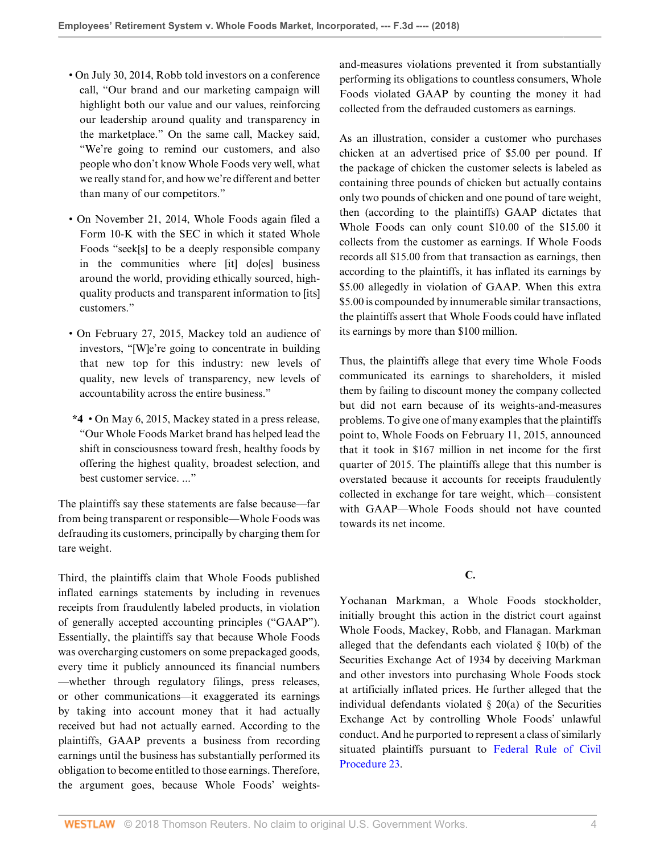- On July 30, 2014, Robb told investors on a conference call, "Our brand and our marketing campaign will highlight both our value and our values, reinforcing our leadership around quality and transparency in the marketplace." On the same call, Mackey said, "We're going to remind our customers, and also people who don't know Whole Foods very well, what we really stand for, and how we're different and better than many of our competitors."
- On November 21, 2014, Whole Foods again filed a Form 10-K with the SEC in which it stated Whole Foods "seek[s] to be a deeply responsible company in the communities where [it] do[es] business around the world, providing ethically sourced, highquality products and transparent information to [its] customers."
- On February 27, 2015, Mackey told an audience of investors, "[W]e're going to concentrate in building that new top for this industry: new levels of quality, new levels of transparency, new levels of accountability across the entire business."
- **\*4** On May 6, 2015, Mackey stated in a press release, "Our Whole Foods Market brand has helped lead the shift in consciousness toward fresh, healthy foods by offering the highest quality, broadest selection, and best customer service. ..."

The plaintiffs say these statements are false because—far from being transparent or responsible—Whole Foods was defrauding its customers, principally by charging them for tare weight.

Third, the plaintiffs claim that Whole Foods published inflated earnings statements by including in revenues receipts from fraudulently labeled products, in violation of generally accepted accounting principles ("GAAP"). Essentially, the plaintiffs say that because Whole Foods was overcharging customers on some prepackaged goods, every time it publicly announced its financial numbers —whether through regulatory filings, press releases, or other communications—it exaggerated its earnings by taking into account money that it had actually received but had not actually earned. According to the plaintiffs, GAAP prevents a business from recording earnings until the business has substantially performed its obligation to become entitled to those earnings. Therefore, the argument goes, because Whole Foods' weightsand-measures violations prevented it from substantially performing its obligations to countless consumers, Whole Foods violated GAAP by counting the money it had collected from the defrauded customers as earnings.

As an illustration, consider a customer who purchases chicken at an advertised price of \$5.00 per pound. If the package of chicken the customer selects is labeled as containing three pounds of chicken but actually contains only two pounds of chicken and one pound of tare weight, then (according to the plaintiffs) GAAP dictates that Whole Foods can only count \$10.00 of the \$15.00 it collects from the customer as earnings. If Whole Foods records all \$15.00 from that transaction as earnings, then according to the plaintiffs, it has inflated its earnings by \$5.00 allegedly in violation of GAAP. When this extra \$5.00 is compounded by innumerable similar transactions, the plaintiffs assert that Whole Foods could have inflated its earnings by more than \$100 million.

Thus, the plaintiffs allege that every time Whole Foods communicated its earnings to shareholders, it misled them by failing to discount money the company collected but did not earn because of its weights-and-measures problems. To give one of many examples that the plaintiffs point to, Whole Foods on February 11, 2015, announced that it took in \$167 million in net income for the first quarter of 2015. The plaintiffs allege that this number is overstated because it accounts for receipts fraudulently collected in exchange for tare weight, which—consistent with GAAP—Whole Foods should not have counted towards its net income.

**C.**

Yochanan Markman, a Whole Foods stockholder, initially brought this action in the district court against Whole Foods, Mackey, Robb, and Flanagan. Markman alleged that the defendants each violated § 10(b) of the Securities Exchange Act of 1934 by deceiving Markman and other investors into purchasing Whole Foods stock at artificially inflated prices. He further alleged that the individual defendants violated § 20(a) of the Securities Exchange Act by controlling Whole Foods' unlawful conduct. And he purported to represent a class of similarly situated plaintiffs pursuant to [Federal Rule of Civil](http://www.westlaw.com/Link/Document/FullText?findType=L&pubNum=1000600&cite=USFRCPR23&originatingDoc=I9bb64810c76c11e8ae6bb4b0ae8dca5a&refType=LQ&originationContext=document&vr=3.0&rs=cblt1.0&transitionType=DocumentItem&contextData=(sc.Search)) [Procedure 23.](http://www.westlaw.com/Link/Document/FullText?findType=L&pubNum=1000600&cite=USFRCPR23&originatingDoc=I9bb64810c76c11e8ae6bb4b0ae8dca5a&refType=LQ&originationContext=document&vr=3.0&rs=cblt1.0&transitionType=DocumentItem&contextData=(sc.Search))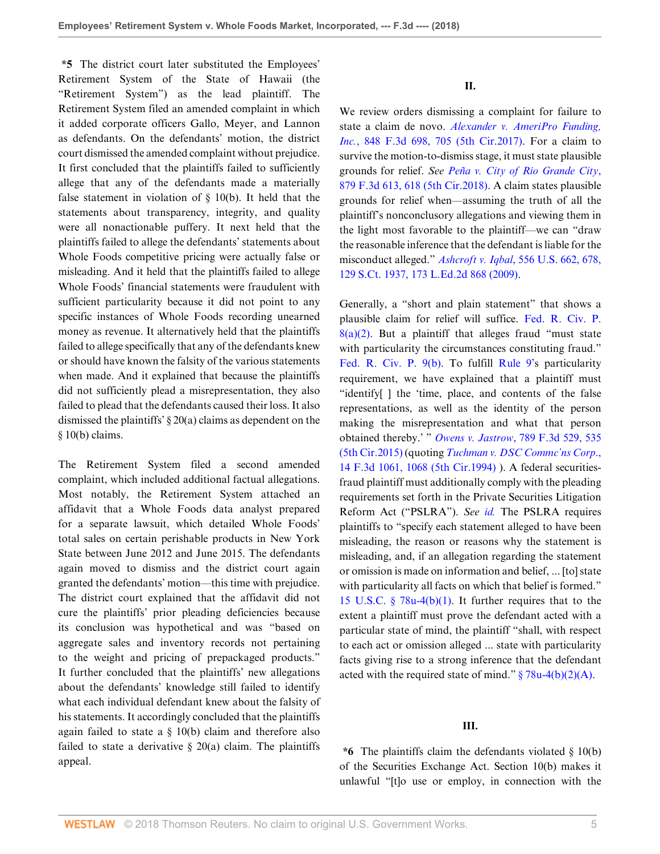**\*5** The district court later substituted the Employees' Retirement System of the State of Hawaii (the "Retirement System") as the lead plaintiff. The Retirement System filed an amended complaint in which it added corporate officers Gallo, Meyer, and Lannon as defendants. On the defendants' motion, the district court dismissed the amended complaint without prejudice. It first concluded that the plaintiffs failed to sufficiently allege that any of the defendants made a materially false statement in violation of  $\S$  10(b). It held that the statements about transparency, integrity, and quality were all nonactionable puffery. It next held that the plaintiffs failed to allege the defendants' statements about Whole Foods competitive pricing were actually false or misleading. And it held that the plaintiffs failed to allege Whole Foods' financial statements were fraudulent with sufficient particularity because it did not point to any specific instances of Whole Foods recording unearned money as revenue. It alternatively held that the plaintiffs failed to allege specifically that any of the defendants knew or should have known the falsity of the various statements when made. And it explained that because the plaintiffs did not sufficiently plead a misrepresentation, they also failed to plead that the defendants caused their loss. It also dismissed the plaintiffs' § 20(a) claims as dependent on the § 10(b) claims.

The Retirement System filed a second amended complaint, which included additional factual allegations. Most notably, the Retirement System attached an affidavit that a Whole Foods data analyst prepared for a separate lawsuit, which detailed Whole Foods' total sales on certain perishable products in New York State between June 2012 and June 2015. The defendants again moved to dismiss and the district court again granted the defendants' motion—this time with prejudice. The district court explained that the affidavit did not cure the plaintiffs' prior pleading deficiencies because its conclusion was hypothetical and was "based on aggregate sales and inventory records not pertaining to the weight and pricing of prepackaged products." It further concluded that the plaintiffs' new allegations about the defendants' knowledge still failed to identify what each individual defendant knew about the falsity of his statements. It accordingly concluded that the plaintiffs again failed to state a  $\S$  10(b) claim and therefore also failed to state a derivative  $\S$  20(a) claim. The plaintiffs appeal.

We review orders dismissing a complaint for failure to state a claim de novo. *[Alexander v. AmeriPro Funding,](http://www.westlaw.com/Link/Document/FullText?findType=Y&serNum=2040969158&pubNum=0000506&originatingDoc=I9bb64810c76c11e8ae6bb4b0ae8dca5a&refType=RP&fi=co_pp_sp_506_705&originationContext=document&vr=3.0&rs=cblt1.0&transitionType=DocumentItem&contextData=(sc.Search)#co_pp_sp_506_705) Inc.*[, 848 F.3d 698, 705 \(5th Cir.2017\).](http://www.westlaw.com/Link/Document/FullText?findType=Y&serNum=2040969158&pubNum=0000506&originatingDoc=I9bb64810c76c11e8ae6bb4b0ae8dca5a&refType=RP&fi=co_pp_sp_506_705&originationContext=document&vr=3.0&rs=cblt1.0&transitionType=DocumentItem&contextData=(sc.Search)#co_pp_sp_506_705) For a claim to survive the motion-to-dismiss stage, it must state plausible grounds for relief. *See [Peña v. City of Rio Grande City](http://www.westlaw.com/Link/Document/FullText?findType=Y&serNum=2043598703&pubNum=0000506&originatingDoc=I9bb64810c76c11e8ae6bb4b0ae8dca5a&refType=RP&fi=co_pp_sp_506_618&originationContext=document&vr=3.0&rs=cblt1.0&transitionType=DocumentItem&contextData=(sc.Search)#co_pp_sp_506_618)*, [879 F.3d 613, 618 \(5th Cir.2018\).](http://www.westlaw.com/Link/Document/FullText?findType=Y&serNum=2043598703&pubNum=0000506&originatingDoc=I9bb64810c76c11e8ae6bb4b0ae8dca5a&refType=RP&fi=co_pp_sp_506_618&originationContext=document&vr=3.0&rs=cblt1.0&transitionType=DocumentItem&contextData=(sc.Search)#co_pp_sp_506_618) A claim states plausible grounds for relief when—assuming the truth of all the plaintiff's nonconclusory allegations and viewing them in the light most favorable to the plaintiff—we can "draw the reasonable inference that the defendant is liable for the misconduct alleged." *Ashcroft v. Iqbal*[, 556 U.S. 662, 678,](http://www.westlaw.com/Link/Document/FullText?findType=Y&serNum=2018848474&pubNum=0000708&originatingDoc=I9bb64810c76c11e8ae6bb4b0ae8dca5a&refType=RP&originationContext=document&vr=3.0&rs=cblt1.0&transitionType=DocumentItem&contextData=(sc.Search)) [129 S.Ct. 1937, 173 L.Ed.2d 868 \(2009\).](http://www.westlaw.com/Link/Document/FullText?findType=Y&serNum=2018848474&pubNum=0000708&originatingDoc=I9bb64810c76c11e8ae6bb4b0ae8dca5a&refType=RP&originationContext=document&vr=3.0&rs=cblt1.0&transitionType=DocumentItem&contextData=(sc.Search))

Generally, a "short and plain statement" that shows a plausible claim for relief will suffice. [Fed. R. Civ. P.](http://www.westlaw.com/Link/Document/FullText?findType=L&pubNum=1000600&cite=USFRCPR8&originatingDoc=I9bb64810c76c11e8ae6bb4b0ae8dca5a&refType=LQ&originationContext=document&vr=3.0&rs=cblt1.0&transitionType=DocumentItem&contextData=(sc.Search))  $8(a)(2)$ . But a plaintiff that alleges fraud "must state" with particularity the circumstances constituting fraud." [Fed. R. Civ. P. 9\(b\)](http://www.westlaw.com/Link/Document/FullText?findType=L&pubNum=1000600&cite=USFRCPR9&originatingDoc=I9bb64810c76c11e8ae6bb4b0ae8dca5a&refType=LQ&originationContext=document&vr=3.0&rs=cblt1.0&transitionType=DocumentItem&contextData=(sc.Search)). To fulfill [Rule 9](http://www.westlaw.com/Link/Document/FullText?findType=L&pubNum=1000600&cite=USFRCPR9&originatingDoc=I9bb64810c76c11e8ae6bb4b0ae8dca5a&refType=LQ&originationContext=document&vr=3.0&rs=cblt1.0&transitionType=DocumentItem&contextData=(sc.Search))'s particularity requirement, we have explained that a plaintiff must "identify[ ] the 'time, place, and contents of the false representations, as well as the identity of the person making the misrepresentation and what that person obtained thereby.' " *Owens v. Jastrow*[, 789 F.3d 529, 535](http://www.westlaw.com/Link/Document/FullText?findType=Y&serNum=2036447582&pubNum=0000506&originatingDoc=I9bb64810c76c11e8ae6bb4b0ae8dca5a&refType=RP&fi=co_pp_sp_506_535&originationContext=document&vr=3.0&rs=cblt1.0&transitionType=DocumentItem&contextData=(sc.Search)#co_pp_sp_506_535) [\(5th Cir.2015\)](http://www.westlaw.com/Link/Document/FullText?findType=Y&serNum=2036447582&pubNum=0000506&originatingDoc=I9bb64810c76c11e8ae6bb4b0ae8dca5a&refType=RP&fi=co_pp_sp_506_535&originationContext=document&vr=3.0&rs=cblt1.0&transitionType=DocumentItem&contextData=(sc.Search)#co_pp_sp_506_535) (quoting *[Tuchman v. DSC Commc'ns Corp](http://www.westlaw.com/Link/Document/FullText?findType=Y&serNum=1994042540&pubNum=0000506&originatingDoc=I9bb64810c76c11e8ae6bb4b0ae8dca5a&refType=RP&fi=co_pp_sp_506_1068&originationContext=document&vr=3.0&rs=cblt1.0&transitionType=DocumentItem&contextData=(sc.Search)#co_pp_sp_506_1068)*., [14 F.3d 1061, 1068 \(5th Cir.1994\)](http://www.westlaw.com/Link/Document/FullText?findType=Y&serNum=1994042540&pubNum=0000506&originatingDoc=I9bb64810c76c11e8ae6bb4b0ae8dca5a&refType=RP&fi=co_pp_sp_506_1068&originationContext=document&vr=3.0&rs=cblt1.0&transitionType=DocumentItem&contextData=(sc.Search)#co_pp_sp_506_1068) ). A federal securitiesfraud plaintiff must additionally comply with the pleading requirements set forth in the Private Securities Litigation Reform Act ("PSLRA"). *See [id.](http://www.westlaw.com/Link/Document/FullText?findType=Y&serNum=2036447582&pubNum=0000506&originatingDoc=I9bb64810c76c11e8ae6bb4b0ae8dca5a&refType=RP&originationContext=document&vr=3.0&rs=cblt1.0&transitionType=DocumentItem&contextData=(sc.Search))* The PSLRA requires plaintiffs to "specify each statement alleged to have been misleading, the reason or reasons why the statement is misleading, and, if an allegation regarding the statement or omission is made on information and belief, ... [to] state with particularity all facts on which that belief is formed." [15 U.S.C. § 78u-4\(b\)\(1\).](http://www.westlaw.com/Link/Document/FullText?findType=L&pubNum=1000546&cite=15USCAS78U-4&originatingDoc=I9bb64810c76c11e8ae6bb4b0ae8dca5a&refType=RB&originationContext=document&vr=3.0&rs=cblt1.0&transitionType=DocumentItem&contextData=(sc.Search)#co_pp_3fed000053a85) It further requires that to the extent a plaintiff must prove the defendant acted with a particular state of mind, the plaintiff "shall, with respect to each act or omission alleged ... state with particularity facts giving rise to a strong inference that the defendant acted with the required state of mind."  $\S 78u-4(b)(2)(A)$ .

#### **III.**

**\*6** The plaintiffs claim the defendants violated § 10(b) of the Securities Exchange Act. Section 10(b) makes it unlawful "[t]o use or employ, in connection with the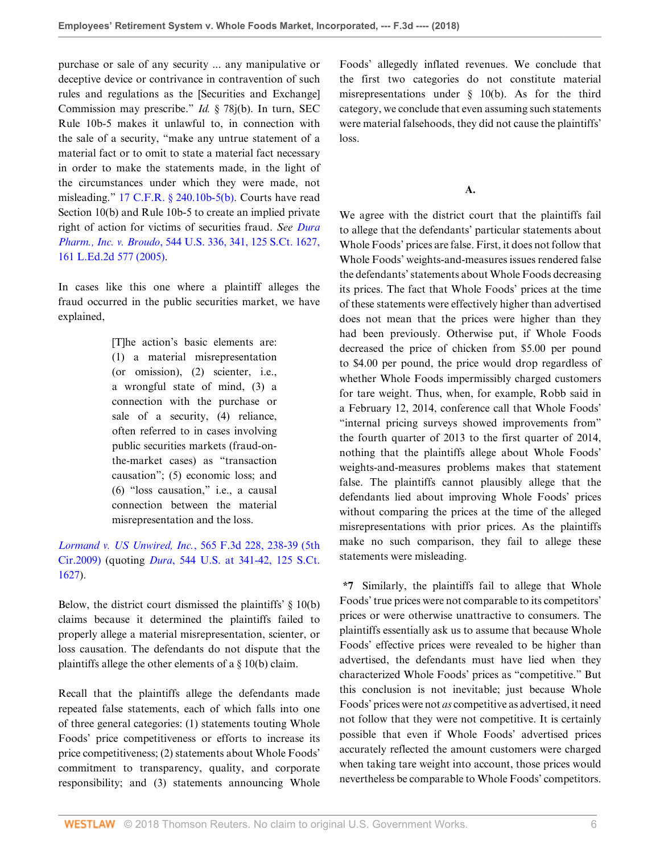purchase or sale of any security ... any manipulative or deceptive device or contrivance in contravention of such rules and regulations as the [Securities and Exchange] Commission may prescribe." *Id.* § 78j(b). In turn, SEC Rule 10b-5 makes it unlawful to, in connection with the sale of a security, "make any untrue statement of a material fact or to omit to state a material fact necessary in order to make the statements made, in the light of the circumstances under which they were made, not misleading." [17 C.F.R. § 240.10b-5\(b\)](http://www.westlaw.com/Link/Document/FullText?findType=L&pubNum=1000547&cite=17CFRS240.10B-5&originatingDoc=I9bb64810c76c11e8ae6bb4b0ae8dca5a&refType=LQ&originationContext=document&vr=3.0&rs=cblt1.0&transitionType=DocumentItem&contextData=(sc.Search)). Courts have read Section 10(b) and Rule 10b-5 to create an implied private right of action for victims of securities fraud. *See [Dura](http://www.westlaw.com/Link/Document/FullText?findType=Y&serNum=2006478482&pubNum=0000708&originatingDoc=I9bb64810c76c11e8ae6bb4b0ae8dca5a&refType=RP&originationContext=document&vr=3.0&rs=cblt1.0&transitionType=DocumentItem&contextData=(sc.Search)) Pharm., Inc. v. Broudo*[, 544 U.S. 336, 341, 125 S.Ct. 1627,](http://www.westlaw.com/Link/Document/FullText?findType=Y&serNum=2006478482&pubNum=0000708&originatingDoc=I9bb64810c76c11e8ae6bb4b0ae8dca5a&refType=RP&originationContext=document&vr=3.0&rs=cblt1.0&transitionType=DocumentItem&contextData=(sc.Search)) [161 L.Ed.2d 577 \(2005\).](http://www.westlaw.com/Link/Document/FullText?findType=Y&serNum=2006478482&pubNum=0000708&originatingDoc=I9bb64810c76c11e8ae6bb4b0ae8dca5a&refType=RP&originationContext=document&vr=3.0&rs=cblt1.0&transitionType=DocumentItem&contextData=(sc.Search))

In cases like this one where a plaintiff alleges the fraud occurred in the public securities market, we have explained,

> [T]he action's basic elements are: (1) a material misrepresentation (or omission), (2) scienter, i.e., a wrongful state of mind, (3) a connection with the purchase or sale of a security, (4) reliance, often referred to in cases involving public securities markets (fraud-onthe-market cases) as "transaction causation"; (5) economic loss; and (6) "loss causation," i.e., a causal connection between the material misrepresentation and the loss.

*[Lormand v. US Unwired, Inc.](http://www.westlaw.com/Link/Document/FullText?findType=Y&serNum=2018570454&pubNum=0000506&originatingDoc=I9bb64810c76c11e8ae6bb4b0ae8dca5a&refType=RP&fi=co_pp_sp_506_238&originationContext=document&vr=3.0&rs=cblt1.0&transitionType=DocumentItem&contextData=(sc.Search)#co_pp_sp_506_238)*, 565 F.3d 228, 238-39 (5th [Cir.2009\)](http://www.westlaw.com/Link/Document/FullText?findType=Y&serNum=2018570454&pubNum=0000506&originatingDoc=I9bb64810c76c11e8ae6bb4b0ae8dca5a&refType=RP&fi=co_pp_sp_506_238&originationContext=document&vr=3.0&rs=cblt1.0&transitionType=DocumentItem&contextData=(sc.Search)#co_pp_sp_506_238) (quoting *Dura*[, 544 U.S. at 341-42, 125 S.Ct.](http://www.westlaw.com/Link/Document/FullText?findType=Y&serNum=2006478482&pubNum=0000708&originatingDoc=I9bb64810c76c11e8ae6bb4b0ae8dca5a&refType=RP&originationContext=document&vr=3.0&rs=cblt1.0&transitionType=DocumentItem&contextData=(sc.Search)) [1627](http://www.westlaw.com/Link/Document/FullText?findType=Y&serNum=2006478482&pubNum=0000708&originatingDoc=I9bb64810c76c11e8ae6bb4b0ae8dca5a&refType=RP&originationContext=document&vr=3.0&rs=cblt1.0&transitionType=DocumentItem&contextData=(sc.Search))).

Below, the district court dismissed the plaintiffs'  $\S$  10(b) claims because it determined the plaintiffs failed to properly allege a material misrepresentation, scienter, or loss causation. The defendants do not dispute that the plaintiffs allege the other elements of a § 10(b) claim.

Recall that the plaintiffs allege the defendants made repeated false statements, each of which falls into one of three general categories: (1) statements touting Whole Foods' price competitiveness or efforts to increase its price competitiveness; (2) statements about Whole Foods' commitment to transparency, quality, and corporate responsibility; and (3) statements announcing Whole

Foods' allegedly inflated revenues. We conclude that the first two categories do not constitute material misrepresentations under  $\S$  10(b). As for the third category, we conclude that even assuming such statements were material falsehoods, they did not cause the plaintiffs' loss.

## **A.**

We agree with the district court that the plaintiffs fail to allege that the defendants' particular statements about Whole Foods' prices are false. First, it does not follow that Whole Foods' weights-and-measures issues rendered false the defendants' statements about Whole Foods decreasing its prices. The fact that Whole Foods' prices at the time of these statements were effectively higher than advertised does not mean that the prices were higher than they had been previously. Otherwise put, if Whole Foods decreased the price of chicken from \$5.00 per pound to \$4.00 per pound, the price would drop regardless of whether Whole Foods impermissibly charged customers for tare weight. Thus, when, for example, Robb said in a February 12, 2014, conference call that Whole Foods' "internal pricing surveys showed improvements from" the fourth quarter of 2013 to the first quarter of 2014, nothing that the plaintiffs allege about Whole Foods' weights-and-measures problems makes that statement false. The plaintiffs cannot plausibly allege that the defendants lied about improving Whole Foods' prices without comparing the prices at the time of the alleged misrepresentations with prior prices. As the plaintiffs make no such comparison, they fail to allege these statements were misleading.

**\*7** Similarly, the plaintiffs fail to allege that Whole Foods' true prices were not comparable to its competitors' prices or were otherwise unattractive to consumers. The plaintiffs essentially ask us to assume that because Whole Foods' effective prices were revealed to be higher than advertised, the defendants must have lied when they characterized Whole Foods' prices as "competitive." But this conclusion is not inevitable; just because Whole Foods' prices were not *as* competitive as advertised, it need not follow that they were not competitive. It is certainly possible that even if Whole Foods' advertised prices accurately reflected the amount customers were charged when taking tare weight into account, those prices would nevertheless be comparable to Whole Foods' competitors.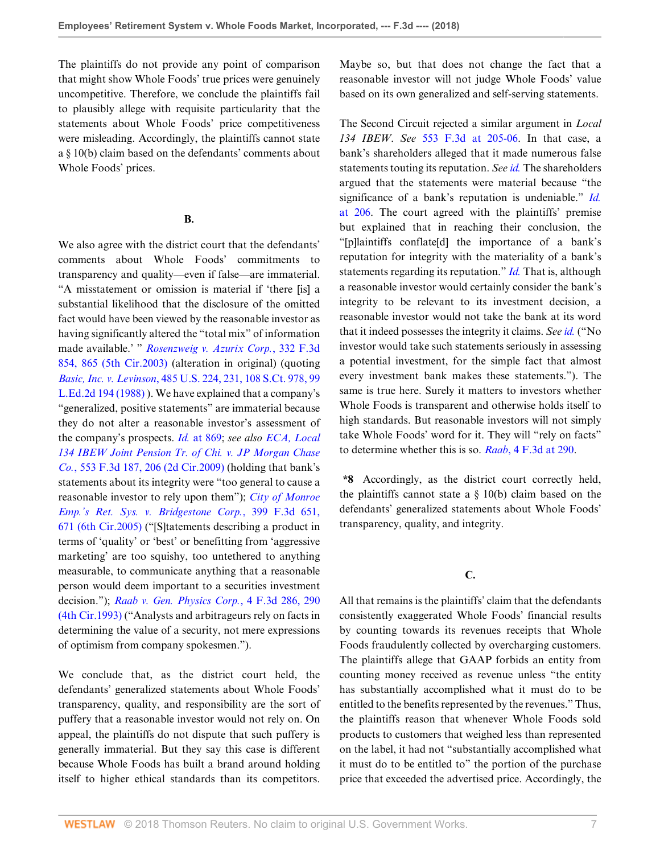The plaintiffs do not provide any point of comparison that might show Whole Foods' true prices were genuinely uncompetitive. Therefore, we conclude the plaintiffs fail to plausibly allege with requisite particularity that the statements about Whole Foods' price competitiveness were misleading. Accordingly, the plaintiffs cannot state a § 10(b) claim based on the defendants' comments about Whole Foods' prices.

#### **B.**

We also agree with the district court that the defendants' comments about Whole Foods' commitments to transparency and quality—even if false—are immaterial. "A misstatement or omission is material if 'there [is] a substantial likelihood that the disclosure of the omitted fact would have been viewed by the reasonable investor as having significantly altered the "total mix" of information made available.' " *[Rosenzweig v. Azurix Corp.](http://www.westlaw.com/Link/Document/FullText?findType=Y&serNum=2003389967&pubNum=0000506&originatingDoc=I9bb64810c76c11e8ae6bb4b0ae8dca5a&refType=RP&fi=co_pp_sp_506_865&originationContext=document&vr=3.0&rs=cblt1.0&transitionType=DocumentItem&contextData=(sc.Search)#co_pp_sp_506_865)*, 332 F.3d [854, 865 \(5th Cir.2003\)](http://www.westlaw.com/Link/Document/FullText?findType=Y&serNum=2003389967&pubNum=0000506&originatingDoc=I9bb64810c76c11e8ae6bb4b0ae8dca5a&refType=RP&fi=co_pp_sp_506_865&originationContext=document&vr=3.0&rs=cblt1.0&transitionType=DocumentItem&contextData=(sc.Search)#co_pp_sp_506_865) (alteration in original) (quoting *Basic, Inc. v. Levinson*[, 485 U.S. 224, 231, 108 S.Ct. 978, 99](http://www.westlaw.com/Link/Document/FullText?findType=Y&serNum=1988031229&pubNum=0000708&originatingDoc=I9bb64810c76c11e8ae6bb4b0ae8dca5a&refType=RP&originationContext=document&vr=3.0&rs=cblt1.0&transitionType=DocumentItem&contextData=(sc.Search)) [L.Ed.2d 194 \(1988\)](http://www.westlaw.com/Link/Document/FullText?findType=Y&serNum=1988031229&pubNum=0000708&originatingDoc=I9bb64810c76c11e8ae6bb4b0ae8dca5a&refType=RP&originationContext=document&vr=3.0&rs=cblt1.0&transitionType=DocumentItem&contextData=(sc.Search)) ). We have explained that a company's "generalized, positive statements" are immaterial because they do not alter a reasonable investor's assessment of the company's prospects. *Id.* [at 869;](http://www.westlaw.com/Link/Document/FullText?findType=Y&serNum=2003389967&pubNum=0000506&originatingDoc=I9bb64810c76c11e8ae6bb4b0ae8dca5a&refType=RP&fi=co_pp_sp_506_869&originationContext=document&vr=3.0&rs=cblt1.0&transitionType=DocumentItem&contextData=(sc.Search)#co_pp_sp_506_869) *see also [ECA, Local](http://www.westlaw.com/Link/Document/FullText?findType=Y&serNum=2017920846&pubNum=0000506&originatingDoc=I9bb64810c76c11e8ae6bb4b0ae8dca5a&refType=RP&fi=co_pp_sp_506_206&originationContext=document&vr=3.0&rs=cblt1.0&transitionType=DocumentItem&contextData=(sc.Search)#co_pp_sp_506_206) [134 IBEW Joint Pension Tr. of Chi. v. JP Morgan Chase](http://www.westlaw.com/Link/Document/FullText?findType=Y&serNum=2017920846&pubNum=0000506&originatingDoc=I9bb64810c76c11e8ae6bb4b0ae8dca5a&refType=RP&fi=co_pp_sp_506_206&originationContext=document&vr=3.0&rs=cblt1.0&transitionType=DocumentItem&contextData=(sc.Search)#co_pp_sp_506_206) Co.*[, 553 F.3d 187, 206 \(2d Cir.2009\)](http://www.westlaw.com/Link/Document/FullText?findType=Y&serNum=2017920846&pubNum=0000506&originatingDoc=I9bb64810c76c11e8ae6bb4b0ae8dca5a&refType=RP&fi=co_pp_sp_506_206&originationContext=document&vr=3.0&rs=cblt1.0&transitionType=DocumentItem&contextData=(sc.Search)#co_pp_sp_506_206) (holding that bank's statements about its integrity were "too general to cause a reasonable investor to rely upon them"); *[City of Monroe](http://www.westlaw.com/Link/Document/FullText?findType=Y&serNum=2006184445&pubNum=0000506&originatingDoc=I9bb64810c76c11e8ae6bb4b0ae8dca5a&refType=RP&fi=co_pp_sp_506_671&originationContext=document&vr=3.0&rs=cblt1.0&transitionType=DocumentItem&contextData=(sc.Search)#co_pp_sp_506_671) [Emp.'s Ret. Sys. v. Bridgestone Corp.](http://www.westlaw.com/Link/Document/FullText?findType=Y&serNum=2006184445&pubNum=0000506&originatingDoc=I9bb64810c76c11e8ae6bb4b0ae8dca5a&refType=RP&fi=co_pp_sp_506_671&originationContext=document&vr=3.0&rs=cblt1.0&transitionType=DocumentItem&contextData=(sc.Search)#co_pp_sp_506_671)*, 399 F.3d 651, [671 \(6th Cir.2005\)](http://www.westlaw.com/Link/Document/FullText?findType=Y&serNum=2006184445&pubNum=0000506&originatingDoc=I9bb64810c76c11e8ae6bb4b0ae8dca5a&refType=RP&fi=co_pp_sp_506_671&originationContext=document&vr=3.0&rs=cblt1.0&transitionType=DocumentItem&contextData=(sc.Search)#co_pp_sp_506_671) ("[S]tatements describing a product in terms of 'quality' or 'best' or benefitting from 'aggressive marketing' are too squishy, too untethered to anything measurable, to communicate anything that a reasonable person would deem important to a securities investment decision."); *[Raab v. Gen. Physics Corp.](http://www.westlaw.com/Link/Document/FullText?findType=Y&serNum=1993168478&pubNum=0000506&originatingDoc=I9bb64810c76c11e8ae6bb4b0ae8dca5a&refType=RP&fi=co_pp_sp_506_290&originationContext=document&vr=3.0&rs=cblt1.0&transitionType=DocumentItem&contextData=(sc.Search)#co_pp_sp_506_290)*, 4 F.3d 286, 290 [\(4th Cir.1993\)](http://www.westlaw.com/Link/Document/FullText?findType=Y&serNum=1993168478&pubNum=0000506&originatingDoc=I9bb64810c76c11e8ae6bb4b0ae8dca5a&refType=RP&fi=co_pp_sp_506_290&originationContext=document&vr=3.0&rs=cblt1.0&transitionType=DocumentItem&contextData=(sc.Search)#co_pp_sp_506_290) ("Analysts and arbitrageurs rely on facts in determining the value of a security, not mere expressions of optimism from company spokesmen.").

We conclude that, as the district court held, the defendants' generalized statements about Whole Foods' transparency, quality, and responsibility are the sort of puffery that a reasonable investor would not rely on. On appeal, the plaintiffs do not dispute that such puffery is generally immaterial. But they say this case is different because Whole Foods has built a brand around holding itself to higher ethical standards than its competitors.

Maybe so, but that does not change the fact that a reasonable investor will not judge Whole Foods' value based on its own generalized and self-serving statements.

The Second Circuit rejected a similar argument in *Local 134 IBEW*. *See* [553 F.3d at 205-06.](http://www.westlaw.com/Link/Document/FullText?findType=Y&serNum=2017920846&pubNum=0000506&originatingDoc=I9bb64810c76c11e8ae6bb4b0ae8dca5a&refType=RP&fi=co_pp_sp_506_205&originationContext=document&vr=3.0&rs=cblt1.0&transitionType=DocumentItem&contextData=(sc.Search)#co_pp_sp_506_205) In that case, a bank's shareholders alleged that it made numerous false statements touting its reputation. *See [id.](http://www.westlaw.com/Link/Document/FullText?findType=Y&serNum=2017920846&pubNum=0000506&originatingDoc=I9bb64810c76c11e8ae6bb4b0ae8dca5a&refType=RP&originationContext=document&vr=3.0&rs=cblt1.0&transitionType=DocumentItem&contextData=(sc.Search))* The shareholders argued that the statements were material because "the significance of a bank's reputation is undeniable." *[Id.](http://www.westlaw.com/Link/Document/FullText?findType=Y&serNum=2017920846&pubNum=0000506&originatingDoc=I9bb64810c76c11e8ae6bb4b0ae8dca5a&refType=RP&fi=co_pp_sp_506_206&originationContext=document&vr=3.0&rs=cblt1.0&transitionType=DocumentItem&contextData=(sc.Search)#co_pp_sp_506_206)* [at 206.](http://www.westlaw.com/Link/Document/FullText?findType=Y&serNum=2017920846&pubNum=0000506&originatingDoc=I9bb64810c76c11e8ae6bb4b0ae8dca5a&refType=RP&fi=co_pp_sp_506_206&originationContext=document&vr=3.0&rs=cblt1.0&transitionType=DocumentItem&contextData=(sc.Search)#co_pp_sp_506_206) The court agreed with the plaintiffs' premise but explained that in reaching their conclusion, the "[p]laintiffs conflate[d] the importance of a bank's reputation for integrity with the materiality of a bank's statements regarding its reputation." *[Id.](http://www.westlaw.com/Link/Document/FullText?findType=Y&serNum=2017920846&pubNum=0000506&originatingDoc=I9bb64810c76c11e8ae6bb4b0ae8dca5a&refType=RP&originationContext=document&vr=3.0&rs=cblt1.0&transitionType=DocumentItem&contextData=(sc.Search))* That is, although a reasonable investor would certainly consider the bank's integrity to be relevant to its investment decision, a reasonable investor would not take the bank at its word that it indeed possesses the integrity it claims. *See [id.](http://www.westlaw.com/Link/Document/FullText?findType=Y&serNum=2017920846&pubNum=0000506&originatingDoc=I9bb64810c76c11e8ae6bb4b0ae8dca5a&refType=RP&originationContext=document&vr=3.0&rs=cblt1.0&transitionType=DocumentItem&contextData=(sc.Search))* ("No investor would take such statements seriously in assessing a potential investment, for the simple fact that almost every investment bank makes these statements."). The same is true here. Surely it matters to investors whether Whole Foods is transparent and otherwise holds itself to high standards. But reasonable investors will not simply take Whole Foods' word for it. They will "rely on facts" to determine whether this is so. *Raab*[, 4 F.3d at 290](http://www.westlaw.com/Link/Document/FullText?findType=Y&serNum=1993168478&pubNum=0000506&originatingDoc=I9bb64810c76c11e8ae6bb4b0ae8dca5a&refType=RP&fi=co_pp_sp_506_290&originationContext=document&vr=3.0&rs=cblt1.0&transitionType=DocumentItem&contextData=(sc.Search)#co_pp_sp_506_290).

**\*8** Accordingly, as the district court correctly held, the plaintiffs cannot state a  $\S$  10(b) claim based on the defendants' generalized statements about Whole Foods' transparency, quality, and integrity.

### **C.**

All that remains is the plaintiffs' claim that the defendants consistently exaggerated Whole Foods' financial results by counting towards its revenues receipts that Whole Foods fraudulently collected by overcharging customers. The plaintiffs allege that GAAP forbids an entity from counting money received as revenue unless "the entity has substantially accomplished what it must do to be entitled to the benefits represented by the revenues." Thus, the plaintiffs reason that whenever Whole Foods sold products to customers that weighed less than represented on the label, it had not "substantially accomplished what it must do to be entitled to" the portion of the purchase price that exceeded the advertised price. Accordingly, the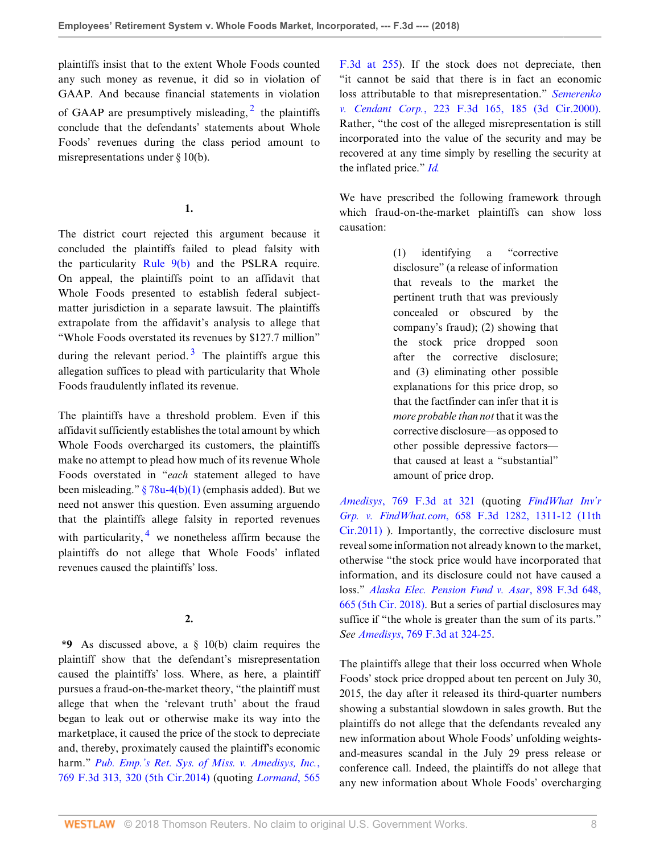plaintiffs insist that to the extent Whole Foods counted any such money as revenue, it did so in violation of GAAP. And because financial statements in violation of GAAP are presumptively misleading,  $2$  the plaintiffs conclude that the defendants' statements about Whole Foods' revenues during the class period amount to misrepresentations under § 10(b).

## <span id="page-7-1"></span>**1.**

The district court rejected this argument because it concluded the plaintiffs failed to plead falsity with the particularity [Rule 9\(b\)](http://www.westlaw.com/Link/Document/FullText?findType=L&pubNum=1000600&cite=USFRCPR9&originatingDoc=I9bb64810c76c11e8ae6bb4b0ae8dca5a&refType=LQ&originationContext=document&vr=3.0&rs=cblt1.0&transitionType=DocumentItem&contextData=(sc.Search)) and the PSLRA require. On appeal, the plaintiffs point to an affidavit that Whole Foods presented to establish federal subjectmatter jurisdiction in a separate lawsuit. The plaintiffs extrapolate from the affidavit's analysis to allege that "Whole Foods overstated its revenues by \$127.7 million" during the relevant period.<sup>[3](#page-8-2)</sup> The plaintiffs argue this allegation suffices to plead with particularity that Whole Foods fraudulently inflated its revenue.

The plaintiffs have a threshold problem. Even if this affidavit sufficiently establishes the total amount by which Whole Foods overcharged its customers, the plaintiffs make no attempt to plead how much of its revenue Whole Foods overstated in "*each* statement alleged to have been misleading."  $\frac{8}{9}$  78u-4(b)(1) (emphasis added). But we need not answer this question. Even assuming arguendo that the plaintiffs allege falsity in reported revenues with particularity,  $\frac{4}{x}$  $\frac{4}{x}$  $\frac{4}{x}$  we nonetheless affirm because the plaintiffs do not allege that Whole Foods' inflated revenues caused the plaintiffs' loss.

# <span id="page-7-2"></span>**2.**

**\*9** As discussed above, a § 10(b) claim requires the plaintiff show that the defendant's misrepresentation caused the plaintiffs' loss. Where, as here, a plaintiff pursues a fraud-on-the-market theory, "the plaintiff must allege that when the 'relevant truth' about the fraud began to leak out or otherwise make its way into the marketplace, it caused the price of the stock to depreciate and, thereby, proximately caused the plaintiff's economic harm." *[Pub. Emp.'s Ret. Sys. of Miss. v. Amedisys, Inc.](http://www.westlaw.com/Link/Document/FullText?findType=Y&serNum=2034493108&pubNum=0000506&originatingDoc=I9bb64810c76c11e8ae6bb4b0ae8dca5a&refType=RP&fi=co_pp_sp_506_320&originationContext=document&vr=3.0&rs=cblt1.0&transitionType=DocumentItem&contextData=(sc.Search)#co_pp_sp_506_320)*, [769 F.3d 313, 320 \(5th Cir.2014\)](http://www.westlaw.com/Link/Document/FullText?findType=Y&serNum=2034493108&pubNum=0000506&originatingDoc=I9bb64810c76c11e8ae6bb4b0ae8dca5a&refType=RP&fi=co_pp_sp_506_320&originationContext=document&vr=3.0&rs=cblt1.0&transitionType=DocumentItem&contextData=(sc.Search)#co_pp_sp_506_320) (quoting *[Lormand](http://www.westlaw.com/Link/Document/FullText?findType=Y&serNum=2018570454&pubNum=0000506&originatingDoc=I9bb64810c76c11e8ae6bb4b0ae8dca5a&refType=RP&fi=co_pp_sp_506_255&originationContext=document&vr=3.0&rs=cblt1.0&transitionType=DocumentItem&contextData=(sc.Search)#co_pp_sp_506_255)*, 565

<span id="page-7-0"></span>[F.3d at 255\)](http://www.westlaw.com/Link/Document/FullText?findType=Y&serNum=2018570454&pubNum=0000506&originatingDoc=I9bb64810c76c11e8ae6bb4b0ae8dca5a&refType=RP&fi=co_pp_sp_506_255&originationContext=document&vr=3.0&rs=cblt1.0&transitionType=DocumentItem&contextData=(sc.Search)#co_pp_sp_506_255). If the stock does not depreciate, then "it cannot be said that there is in fact an economic loss attributable to that misrepresentation." *[Semerenko](http://www.westlaw.com/Link/Document/FullText?findType=Y&serNum=2000470832&pubNum=0000506&originatingDoc=I9bb64810c76c11e8ae6bb4b0ae8dca5a&refType=RP&fi=co_pp_sp_506_185&originationContext=document&vr=3.0&rs=cblt1.0&transitionType=DocumentItem&contextData=(sc.Search)#co_pp_sp_506_185) v. Cendant Corp.*[, 223 F.3d 165, 185 \(3d Cir.2000\)](http://www.westlaw.com/Link/Document/FullText?findType=Y&serNum=2000470832&pubNum=0000506&originatingDoc=I9bb64810c76c11e8ae6bb4b0ae8dca5a&refType=RP&fi=co_pp_sp_506_185&originationContext=document&vr=3.0&rs=cblt1.0&transitionType=DocumentItem&contextData=(sc.Search)#co_pp_sp_506_185). Rather, "the cost of the alleged misrepresentation is still incorporated into the value of the security and may be recovered at any time simply by reselling the security at the inflated price." *[Id.](http://www.westlaw.com/Link/Document/FullText?findType=Y&serNum=2000470832&pubNum=0000506&originatingDoc=I9bb64810c76c11e8ae6bb4b0ae8dca5a&refType=RP&originationContext=document&vr=3.0&rs=cblt1.0&transitionType=DocumentItem&contextData=(sc.Search))*

We have prescribed the following framework through which fraud-on-the-market plaintiffs can show loss causation:

> (1) identifying a "corrective disclosure" (a release of information that reveals to the market the pertinent truth that was previously concealed or obscured by the company's fraud); (2) showing that the stock price dropped soon after the corrective disclosure; and (3) eliminating other possible explanations for this price drop, so that the factfinder can infer that it is *more probable than not* that it was the corrective disclosure—as opposed to other possible depressive factors that caused at least a "substantial" amount of price drop.

*Amedisys*[, 769 F.3d at 321](http://www.westlaw.com/Link/Document/FullText?findType=Y&serNum=2034493108&pubNum=0000506&originatingDoc=I9bb64810c76c11e8ae6bb4b0ae8dca5a&refType=RP&fi=co_pp_sp_506_321&originationContext=document&vr=3.0&rs=cblt1.0&transitionType=DocumentItem&contextData=(sc.Search)#co_pp_sp_506_321) (quoting *[FindWhat Inv'r](http://www.westlaw.com/Link/Document/FullText?findType=Y&serNum=2026252602&pubNum=0000506&originatingDoc=I9bb64810c76c11e8ae6bb4b0ae8dca5a&refType=RP&fi=co_pp_sp_506_1311&originationContext=document&vr=3.0&rs=cblt1.0&transitionType=DocumentItem&contextData=(sc.Search)#co_pp_sp_506_1311) Grp. v. FindWhat.com*[, 658 F.3d 1282, 1311-12 \(11th](http://www.westlaw.com/Link/Document/FullText?findType=Y&serNum=2026252602&pubNum=0000506&originatingDoc=I9bb64810c76c11e8ae6bb4b0ae8dca5a&refType=RP&fi=co_pp_sp_506_1311&originationContext=document&vr=3.0&rs=cblt1.0&transitionType=DocumentItem&contextData=(sc.Search)#co_pp_sp_506_1311) [Cir.2011\)](http://www.westlaw.com/Link/Document/FullText?findType=Y&serNum=2026252602&pubNum=0000506&originatingDoc=I9bb64810c76c11e8ae6bb4b0ae8dca5a&refType=RP&fi=co_pp_sp_506_1311&originationContext=document&vr=3.0&rs=cblt1.0&transitionType=DocumentItem&contextData=(sc.Search)#co_pp_sp_506_1311) ). Importantly, the corrective disclosure must reveal some information not already known to the market, otherwise "the stock price would have incorporated that information, and its disclosure could not have caused a loss." *[Alaska Elec. Pension Fund v. Asar](http://www.westlaw.com/Link/Document/FullText?findType=Y&serNum=2045215709&pubNum=0000506&originatingDoc=I9bb64810c76c11e8ae6bb4b0ae8dca5a&refType=RP&fi=co_pp_sp_506_665&originationContext=document&vr=3.0&rs=cblt1.0&transitionType=DocumentItem&contextData=(sc.Search)#co_pp_sp_506_665)*, 898 F.3d 648, [665 \(5th Cir. 2018\)](http://www.westlaw.com/Link/Document/FullText?findType=Y&serNum=2045215709&pubNum=0000506&originatingDoc=I9bb64810c76c11e8ae6bb4b0ae8dca5a&refType=RP&fi=co_pp_sp_506_665&originationContext=document&vr=3.0&rs=cblt1.0&transitionType=DocumentItem&contextData=(sc.Search)#co_pp_sp_506_665). But a series of partial disclosures may suffice if "the whole is greater than the sum of its parts." *See Amedisys*[, 769 F.3d at 324-25](http://www.westlaw.com/Link/Document/FullText?findType=Y&serNum=2034493108&pubNum=0000506&originatingDoc=I9bb64810c76c11e8ae6bb4b0ae8dca5a&refType=RP&fi=co_pp_sp_506_324&originationContext=document&vr=3.0&rs=cblt1.0&transitionType=DocumentItem&contextData=(sc.Search)#co_pp_sp_506_324).

The plaintiffs allege that their loss occurred when Whole Foods' stock price dropped about ten percent on July 30, 2015, the day after it released its third-quarter numbers showing a substantial slowdown in sales growth. But the plaintiffs do not allege that the defendants revealed any new information about Whole Foods' unfolding weightsand-measures scandal in the July 29 press release or conference call. Indeed, the plaintiffs do not allege that any new information about Whole Foods' overcharging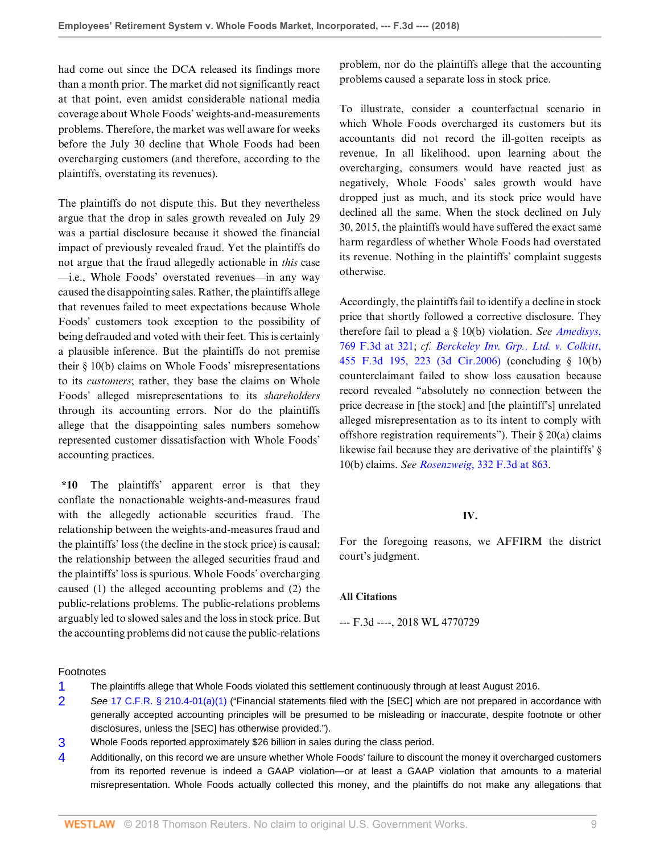had come out since the DCA released its findings more than a month prior. The market did not significantly react at that point, even amidst considerable national media coverage about Whole Foods' weights-and-measurements problems. Therefore, the market was well aware for weeks before the July 30 decline that Whole Foods had been overcharging customers (and therefore, according to the plaintiffs, overstating its revenues).

The plaintiffs do not dispute this. But they nevertheless argue that the drop in sales growth revealed on July 29 was a partial disclosure because it showed the financial impact of previously revealed fraud. Yet the plaintiffs do not argue that the fraud allegedly actionable in *this* case —i.e., Whole Foods' overstated revenues—in any way caused the disappointing sales. Rather, the plaintiffs allege that revenues failed to meet expectations because Whole Foods' customers took exception to the possibility of being defrauded and voted with their feet. This is certainly a plausible inference. But the plaintiffs do not premise their § 10(b) claims on Whole Foods' misrepresentations to its *customers*; rather, they base the claims on Whole Foods' alleged misrepresentations to its *shareholders* through its accounting errors. Nor do the plaintiffs allege that the disappointing sales numbers somehow represented customer dissatisfaction with Whole Foods' accounting practices.

**\*10** The plaintiffs' apparent error is that they conflate the nonactionable weights-and-measures fraud with the allegedly actionable securities fraud. The relationship between the weights-and-measures fraud and the plaintiffs' loss (the decline in the stock price) is causal; the relationship between the alleged securities fraud and the plaintiffs' loss is spurious. Whole Foods' overcharging caused (1) the alleged accounting problems and (2) the public-relations problems. The public-relations problems arguably led to slowed sales and the loss in stock price. But the accounting problems did not cause the public-relations

problem, nor do the plaintiffs allege that the accounting problems caused a separate loss in stock price.

To illustrate, consider a counterfactual scenario in which Whole Foods overcharged its customers but its accountants did not record the ill-gotten receipts as revenue. In all likelihood, upon learning about the overcharging, consumers would have reacted just as negatively, Whole Foods' sales growth would have dropped just as much, and its stock price would have declined all the same. When the stock declined on July 30, 2015, the plaintiffs would have suffered the exact same harm regardless of whether Whole Foods had overstated its revenue. Nothing in the plaintiffs' complaint suggests otherwise.

Accordingly, the plaintiffs fail to identify a decline in stock price that shortly followed a corrective disclosure. They therefore fail to plead a § 10(b) violation. *See [Amedisys](http://www.westlaw.com/Link/Document/FullText?findType=Y&serNum=2034493108&pubNum=0000506&originatingDoc=I9bb64810c76c11e8ae6bb4b0ae8dca5a&refType=RP&fi=co_pp_sp_506_321&originationContext=document&vr=3.0&rs=cblt1.0&transitionType=DocumentItem&contextData=(sc.Search)#co_pp_sp_506_321)*, [769 F.3d at 321](http://www.westlaw.com/Link/Document/FullText?findType=Y&serNum=2034493108&pubNum=0000506&originatingDoc=I9bb64810c76c11e8ae6bb4b0ae8dca5a&refType=RP&fi=co_pp_sp_506_321&originationContext=document&vr=3.0&rs=cblt1.0&transitionType=DocumentItem&contextData=(sc.Search)#co_pp_sp_506_321); *cf. [Berckeley Inv. Grp., Ltd. v. Colkitt](http://www.westlaw.com/Link/Document/FullText?findType=Y&serNum=2009610624&pubNum=0000506&originatingDoc=I9bb64810c76c11e8ae6bb4b0ae8dca5a&refType=RP&fi=co_pp_sp_506_223&originationContext=document&vr=3.0&rs=cblt1.0&transitionType=DocumentItem&contextData=(sc.Search)#co_pp_sp_506_223)*, [455 F.3d 195, 223 \(3d Cir.2006\)](http://www.westlaw.com/Link/Document/FullText?findType=Y&serNum=2009610624&pubNum=0000506&originatingDoc=I9bb64810c76c11e8ae6bb4b0ae8dca5a&refType=RP&fi=co_pp_sp_506_223&originationContext=document&vr=3.0&rs=cblt1.0&transitionType=DocumentItem&contextData=(sc.Search)#co_pp_sp_506_223) (concluding § 10(b) counterclaimant failed to show loss causation because record revealed "absolutely no connection between the price decrease in [the stock] and [the plaintiff's] unrelated alleged misrepresentation as to its intent to comply with offshore registration requirements"). Their § 20(a) claims likewise fail because they are derivative of the plaintiffs' § 10(b) claims. *See Rosenzweig*[, 332 F.3d at 863.](http://www.westlaw.com/Link/Document/FullText?findType=Y&serNum=2003389967&pubNum=0000506&originatingDoc=I9bb64810c76c11e8ae6bb4b0ae8dca5a&refType=RP&fi=co_pp_sp_506_863&originationContext=document&vr=3.0&rs=cblt1.0&transitionType=DocumentItem&contextData=(sc.Search)#co_pp_sp_506_863)

### **IV.**

For the foregoing reasons, we AFFIRM the district court's judgment.

#### **All Citations**

--- F.3d ----, 2018 WL 4770729

#### Footnotes

- <span id="page-8-0"></span>[1](#page-1-0) The plaintiffs allege that Whole Foods violated this settlement continuously through at least August 2016.
- <span id="page-8-1"></span>[2](#page-7-0) See [17 C.F.R. § 210.4-01\(a\)\(1\)](http://www.westlaw.com/Link/Document/FullText?findType=L&pubNum=1000547&cite=17CFRS210.4-01&originatingDoc=I9bb64810c76c11e8ae6bb4b0ae8dca5a&refType=LQ&originationContext=document&vr=3.0&rs=cblt1.0&transitionType=DocumentItem&contextData=(sc.Search)) ("Financial statements filed with the [SEC] which are not prepared in accordance with generally accepted accounting principles will be presumed to be misleading or inaccurate, despite footnote or other disclosures, unless the [SEC] has otherwise provided.").
- <span id="page-8-2"></span>[3](#page-7-1) Whole Foods reported approximately \$26 billion in sales during the class period.
- <span id="page-8-3"></span>[4](#page-7-2) Additionally, on this record we are unsure whether Whole Foods' failure to discount the money it overcharged customers from its reported revenue is indeed a GAAP violation—or at least a GAAP violation that amounts to a material misrepresentation. Whole Foods actually collected this money, and the plaintiffs do not make any allegations that